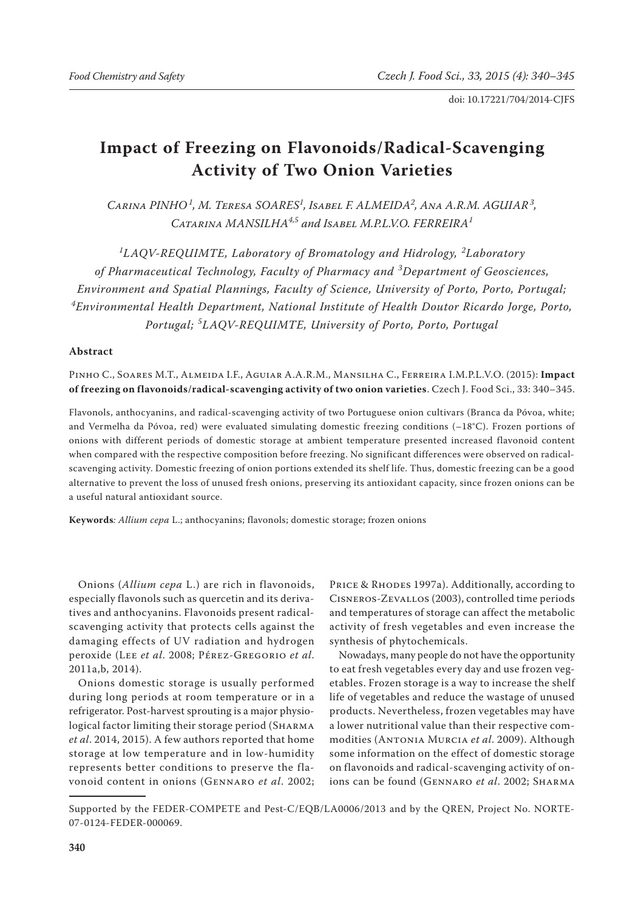# **Impact of Freezing on Flavonoids/Radical-Scavenging Activity of Two Onion Varieties**

*Carina PINHO<sup>1</sup> , M. Teresa SOARES<sup>1</sup> , Isabel F. ALMEIDA<sup>2</sup> , Ana A.R.M. AGUIAR<sup>3</sup> , Catarina MANSILHA4,5 and Isabel M.P.L.V.O. FERREIRA<sup>1</sup>*

*1 LAQV-REQUIMTE, Laboratory of Bromatology and Hidrology, <sup>2</sup> Laboratory of Pharmaceutical Technology, Faculty of Pharmacy and <sup>3</sup> Department of Geosciences, Environment and Spatial Plannings, Faculty of Science, University of Porto, Porto, Portugal; 4 Environmental Health Department, National Institute of Health Doutor Ricardo Jorge, Porto, Portugal; <sup>5</sup> LAQV-REQUIMTE, University of Porto, Porto, Portugal*

## **Abstract**

Pinho C., Soares M.T., Almeida I.F., Aguiar A.A.R.M., Mansilha C., Ferreira I.M.P.L.V.O. (2015): **Impact of freezing on flavonoids/radical-scavenging activity of two onion varieties**. Czech J. Food Sci., 33: 340–345.

Flavonols, anthocyanins, and radical-scavenging activity of two Portuguese onion cultivars (Branca da Póvoa, white; and Vermelha da Póvoa, red) were evaluated simulating domestic freezing conditions (–18°C). Frozen portions of onions with different periods of domestic storage at ambient temperature presented increased flavonoid content when compared with the respective composition before freezing. No significant differences were observed on radicalscavenging activity. Domestic freezing of onion portions extended its shelf life. Thus, domestic freezing can be a good alternative to prevent the loss of unused fresh onions, preserving its antioxidant capacity, since frozen onions can be a useful natural antioxidant source.

**Keywords***: Allium cepa* L.; anthocyanins; flavonols; domestic storage; frozen onions

Onions (*Allium cepa* L.) are rich in flavonoids, especially flavonols such as quercetin and its derivatives and anthocyanins. Flavonoids present radicalscavenging activity that protects cells against the damaging effects of UV radiation and hydrogen peroxide (Lee *et al*. 2008; Pérez-Gregorio *et al*. 2011a,b, 2014).

Onions domestic storage is usually performed during long periods at room temperature or in a refrigerator. Post-harvest sprouting is a major physiological factor limiting their storage period (SHARMA) *et al*. 2014, 2015). A few authors reported that home storage at low temperature and in low-humidity represents better conditions to preserve the flavonoid content in onions (Gennaro *et al*. 2002;

PRICE & RHODES 1997a). Additionally, according to Cisneros-Zevallos (2003), controlled time periods and temperatures of storage can affect the metabolic activity of fresh vegetables and even increase the synthesis of phytochemicals.

Nowadays, many people do not have the opportunity to eat fresh vegetables every day and use frozen vegetables. Frozen storage is a way to increase the shelf life of vegetables and reduce the wastage of unused products. Nevertheless, frozen vegetables may have a lower nutritional value than their respective commodities (Antonia Murcia *et al*. 2009). Although some information on the effect of domestic storage on flavonoids and radical-scavenging activity of onions can be found (Gennaro *et al*. 2002; Sharma

Supported by the FEDER-COMPETE and Pest-C/EQB/LA0006/2013 and by the QREN, Project No. NORTE-07-0124-FEDER-000069.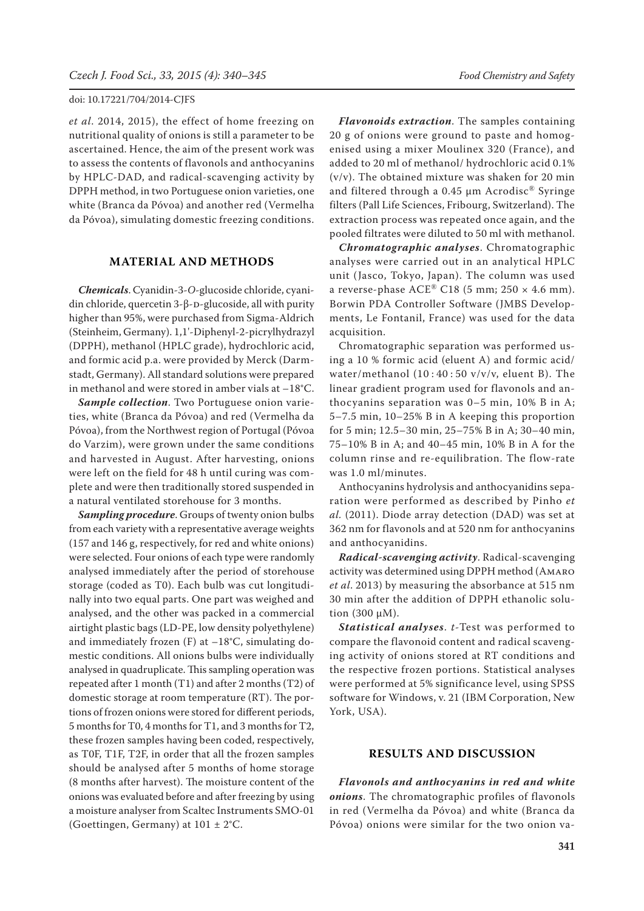*et al*. 2014, 2015), the effect of home freezing on nutritional quality of onions is still a parameter to be ascertained. Hence, the aim of the present work was to assess the contents of flavonols and anthocyanins by HPLC-DAD, and radical-scavenging activity by DPPH method, in two Portuguese onion varieties, one white (Branca da Póvoa) and another red (Vermelha da Póvoa), simulating domestic freezing conditions.

## **MATERIAL AND METHODS**

*Chemicals*. Cyanidin-3-*O*-glucoside chloride, cyanidin chloride, quercetin 3-β-D-glucoside, all with purity higher than 95%, were purchased from Sigma-Aldrich (Steinheim, Germany). 1,1'-Diphenyl-2-picrylhydrazyl (DPPH), methanol (HPLC grade), hydrochloric acid, and formic acid p.a. were provided by Merck (Darmstadt, Germany). All standard solutions were prepared in methanol and were stored in amber vials at –18°C.

*Sample collection*. Two Portuguese onion varieties, white (Branca da Póvoa) and red (Vermelha da Póvoa), from the Northwest region of Portugal (Póvoa do Varzim), were grown under the same conditions and harvested in August. After harvesting, onions were left on the field for 48 h until curing was complete and were then traditionally stored suspended in a natural ventilated storehouse for 3 months.

*Sampling procedure*. Groups of twenty onion bulbs from each variety with a representative average weights (157 and 146 g, respectively, for red and white onions) were selected. Four onions of each type were randomly analysed immediately after the period of storehouse storage (coded as T0). Each bulb was cut longitudinally into two equal parts. One part was weighed and analysed, and the other was packed in a commercial airtight plastic bags (LD-PE, low density polyethylene) and immediately frozen  $(F)$  at  $-18^{\circ}C$ , simulating domestic conditions. All onions bulbs were individually analysed in quadruplicate. This sampling operation was repeated after 1 month (T1) and after 2 months (T2) of domestic storage at room temperature (RT). The portions of frozen onions were stored for different periods, 5 months for T0, 4 months for T1, and 3 months for T2, these frozen samples having been coded, respectively, as T0F, T1F, T2F, in order that all the frozen samples should be analysed after 5 months of home storage (8 months after harvest). The moisture content of the onions was evaluated before and after freezing by using a moisture analyser from Scaltec Instruments SMO-01 (Goettingen, Germany) at  $101 \pm 2$ °C.

*Flavonoids extraction*. The samples containing 20 g of onions were ground to paste and homogenised using a mixer Moulinex 320 (France), and added to 20 ml of methanol/ hydrochloric acid 0.1% (v/v). The obtained mixture was shaken for 20 min and filtered through a 0.45  $\mu$ m Acrodisc<sup>®</sup> Syringe filters (Pall Life Sciences, Fribourg, Switzerland). The extraction process was repeated once again, and the pooled filtrates were diluted to 50 ml with methanol.

*Chromatographic analyses*. Chromatographic analyses were carried out in an analytical HPLC unit (Jasco, Tokyo, Japan). The column was used a reverse-phase  $ACE^{\circledR}$  C18 (5 mm; 250  $\times$  4.6 mm). Borwin PDA Controller Software (JMBS Developments, Le Fontanil, France) was used for the data acquisition.

Chromatographic separation was performed using a 10 % formic acid (eluent A) and formic acid/ water/methanol  $(10:40:50 \text{ v/v/v},$  eluent B). The linear gradient program used for flavonols and anthocyanins separation was 0–5 min, 10% B in A; 5–7.5 min, 10–25% B in A keeping this proportion for 5 min; 12.5–30 min, 25–75% B in A; 30–40 min, 75–10% B in A; and 40–45 min, 10% B in A for the column rinse and re-equilibration. The flow-rate was 1.0 ml/minutes.

Anthocyanins hydrolysis and anthocyanidins separation were performed as described by Pinho *et al.* (2011). Diode array detection (DAD) was set at 362 nm for flavonols and at 520 nm for anthocyanins and anthocyanidins.

*Radical-scavenging activity*. Radical-scavenging activity was determined using DPPH method (Amaro *et al*. 2013) by measuring the absorbance at 515 nm 30 min after the addition of DPPH ethanolic solution (300 µM).

*Statistical analyses*. *t*-Test was performed to compare the flavonoid content and radical scavenging activity of onions stored at RT conditions and the respective frozen portions. Statistical analyses were performed at 5% significance level, using SPSS software for Windows, v. 21 (IBM Corporation, New York, USA).

## **RESULTS AND DISCUSSION**

*Flavonols and anthocyanins in red and white onions*. The chromatographic profiles of flavonols in red (Vermelha da Póvoa) and white (Branca da Póvoa) onions were similar for the two onion va-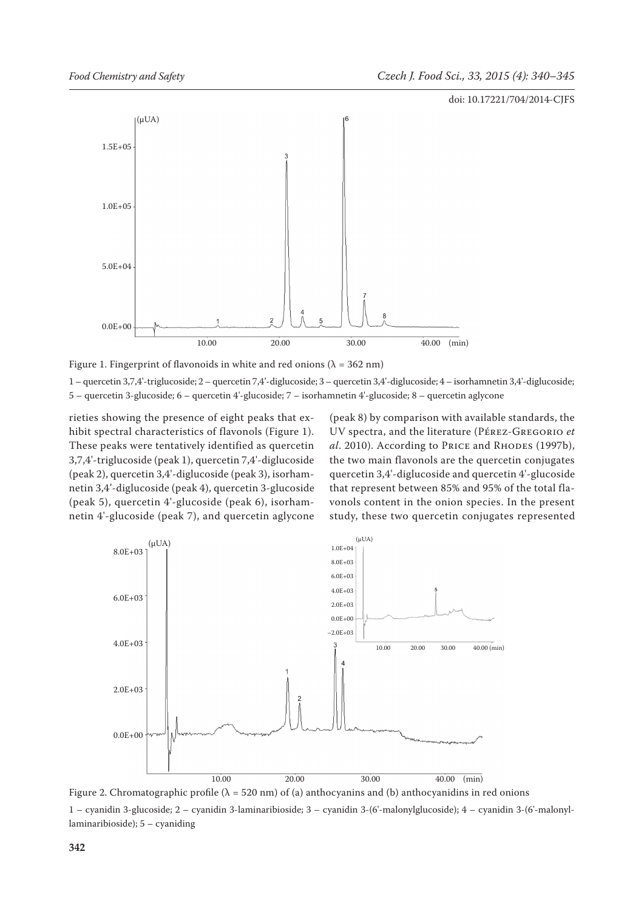

Figure 1. Fingerprint of flavonoids in white and red onions ( $\lambda = 362$  nm)

1 – quercetin 3,7,4'-triglucoside; 2 – quercetin 7,4'-diglucoside; 3 – quercetin 3,4'-diglucoside; 4 – isorhamnetin 3,4'-diglucoside; 5 – quercetin 3-glucoside; 6 – quercetin 4'-glucoside; 7 – isorhamnetin 4'-glucoside; 8 – quercetin aglycone

rieties showing the presence of eight peaks that exhibit spectral characteristics of flavonols (Figure 1). These peaks were tentatively identified as quercetin 3,7,4'-triglucoside (peak 1), quercetin 7,4'-diglucoside (peak 2), quercetin 3,4'-diglucoside (peak 3), isorhamnetin 3,4'-diglucoside (peak 4), quercetin 3-glucoside (peak 5), quercetin 4'-glucoside (peak 6), isorhamnetin 4'-glucoside (peak 7), and quercetin aglycone

(peak 8) by comparison with available standards, the UV spectra, and the literature (Pérez-Gregorio *et al.* 2010). According to Price and Rhodes (1997b), the two main flavonols are the quercetin conjugates quercetin 3,4'-diglucoside and quercetin 4'-glucoside that represent between 85% and 95% of the total flavonols content in the onion species. In the present study, these two quercetin conjugates represented



Figure 2. Chromatographic profile ( $\lambda = 520$  nm) of (a) anthocyanins and (b) anthocyanidins in red onions

1 – cyanidin 3-glucoside; 2 – cyanidin 3-laminaribioside; 3 – cyanidin 3-(6'-malonylglucoside); 4 – cyanidin 3-(6'-malonyllaminaribioside); 5 – cyaniding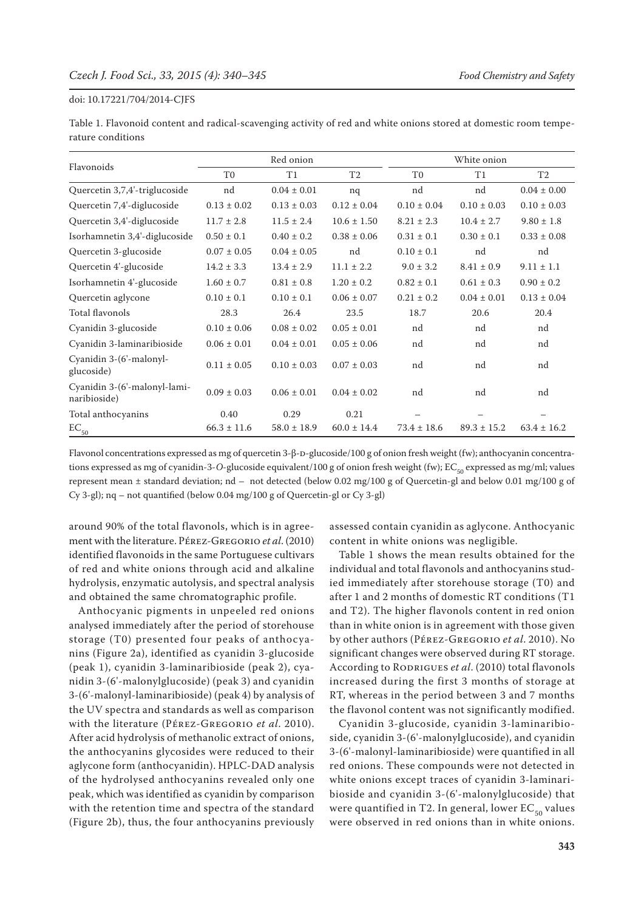Table 1. Flavonoid content and radical-scavenging activity of red and white onions stored at domestic room temperature conditions

| Flavonoids                                   | Red onion       |                 |                 | White onion     |                 |                 |
|----------------------------------------------|-----------------|-----------------|-----------------|-----------------|-----------------|-----------------|
|                                              | T <sub>0</sub>  | T1              | T2              | T <sub>0</sub>  | T1              | T2              |
| Quercetin 3,7,4'-triglucoside                | nd              | $0.04 \pm 0.01$ | nq              | nd              | nd              | $0.04 \pm 0.00$ |
| Quercetin 7,4'-diglucoside                   | $0.13 \pm 0.02$ | $0.13 \pm 0.03$ | $0.12 \pm 0.04$ | $0.10 \pm 0.04$ | $0.10 \pm 0.03$ | $0.10 \pm 0.03$ |
| Quercetin 3,4'-diglucoside                   | $11.7 \pm 2.8$  | $11.5 \pm 2.4$  | $10.6 \pm 1.50$ | $8.21 \pm 2.3$  | $10.4 \pm 2.7$  | $9.80 \pm 1.8$  |
| Isorhamnetin 3,4'-diglucoside                | $0.50 \pm 0.1$  | $0.40 \pm 0.2$  | $0.38 \pm 0.06$ | $0.31 \pm 0.1$  | $0.30 \pm 0.1$  | $0.33 \pm 0.08$ |
| Quercetin 3-glucoside                        | $0.07 \pm 0.05$ | $0.04 \pm 0.05$ | nd              | $0.10 \pm 0.1$  | nd              | nd              |
| Quercetin 4'-glucoside                       | $14.2 \pm 3.3$  | $13.4 \pm 2.9$  | $11.1 \pm 2.2$  | $9.0 \pm 3.2$   | $8.41 \pm 0.9$  | $9.11 \pm 1.1$  |
| Isorhamnetin 4'-glucoside                    | $1.60 \pm 0.7$  | $0.81 \pm 0.8$  | $1.20 \pm 0.2$  | $0.82 \pm 0.1$  | $0.61 \pm 0.3$  | $0.90 \pm 0.2$  |
| Quercetin aglycone                           | $0.10 \pm 0.1$  | $0.10 \pm 0.1$  | $0.06 \pm 0.07$ | $0.21 \pm 0.2$  | $0.04 \pm 0.01$ | $0.13 \pm 0.04$ |
| Total flavonols                              | 28.3            | 26.4            | 23.5            | 18.7            | 20.6            | 20.4            |
| Cyanidin 3-glucoside                         | $0.10 \pm 0.06$ | $0.08 \pm 0.02$ | $0.05 \pm 0.01$ | nd              | nd              | nd              |
| Cyanidin 3-laminaribioside                   | $0.06 \pm 0.01$ | $0.04 \pm 0.01$ | $0.05 \pm 0.06$ | nd              | nd              | nd              |
| Cyanidin 3-(6'-malonyl-<br>glucoside)        | $0.11 \pm 0.05$ | $0.10 \pm 0.03$ | $0.07 \pm 0.03$ | nd              | nd              | nd              |
| Cyanidin 3-(6'-malonyl-lami-<br>naribioside) | $0.09 \pm 0.03$ | $0.06 \pm 0.01$ | $0.04 \pm 0.02$ | nd              | nd              | nd              |
| Total anthocyanins                           | 0.40            | 0.29            | 0.21            |                 |                 |                 |
| $EC_{50}$                                    | $66.3 \pm 11.6$ | $58.0 \pm 18.9$ | $60.0 \pm 14.4$ | $73.4 \pm 18.6$ | $89.3 \pm 15.2$ | $63.4 \pm 16.2$ |

Flavonol concentrations expressed as mg of quercetin 3-β-D-glucoside/100 g of onion fresh weight (fw); anthocyanin concentrations expressed as mg of cyanidin-3-O-glucoside equivalent/100 g of onion fresh weight (fw); EC<sub>50</sub> expressed as mg/ml; values represent mean ± standard deviation; nd – not detected (below 0.02 mg/100 g of Quercetin-gl and below 0.01 mg/100 g of Cy 3-gl); nq – not quantified (below 0.04 mg/100 g of Quercetin-gl or Cy 3-gl)

around 90% of the total flavonols, which is in agreement with the literature. Pérez-Gregorio *et al*. (2010) identified flavonoids in the same Portuguese cultivars of red and white onions through acid and alkaline hydrolysis, enzymatic autolysis, and spectral analysis and obtained the same chromatographic profile.

Anthocyanic pigments in unpeeled red onions analysed immediately after the period of storehouse storage (T0) presented four peaks of anthocyanins (Figure 2a), identified as cyanidin 3-glucoside (peak 1), cyanidin 3-laminaribioside (peak 2), cyanidin 3-(6'-malonylglucoside) (peak 3) and cyanidin 3-(6'-malonyl-laminaribioside) (peak 4) by analysis of the UV spectra and standards as well as comparison with the literature (Pérez-Gregorio *et al*. 2010). After acid hydrolysis of methanolic extract of onions, the anthocyanins glycosides were reduced to their aglycone form (anthocyanidin). HPLC-DAD analysis of the hydrolysed anthocyanins revealed only one peak, which was identified as cyanidin by comparison with the retention time and spectra of the standard (Figure 2b), thus, the four anthocyanins previously assessed contain cyanidin as aglycone. Anthocyanic content in white onions was negligible.

Table 1 shows the mean results obtained for the individual and total flavonols and anthocyanins studied immediately after storehouse storage (T0) and after 1 and 2 months of domestic RT conditions (T1 and T2). The higher flavonols content in red onion than in white onion is in agreement with those given by other authors (Pérez-Gregorio *et al*. 2010). No significant changes were observed during RT storage. According to RODRIGUES *et al.* (2010) total flavonols increased during the first 3 months of storage at RT, whereas in the period between 3 and 7 months the flavonol content was not significantly modified.

Cyanidin 3-glucoside, cyanidin 3-laminaribioside, cyanidin 3-(6'-malonylglucoside), and cyanidin 3-(6'-malonyl-laminaribioside) were quantified in all red onions. These compounds were not detected in white onions except traces of cyanidin 3-laminaribioside and cyanidin 3-(6'-malonylglucoside) that were quantified in T2. In general, lower  $EC_{50}$  values were observed in red onions than in white onions.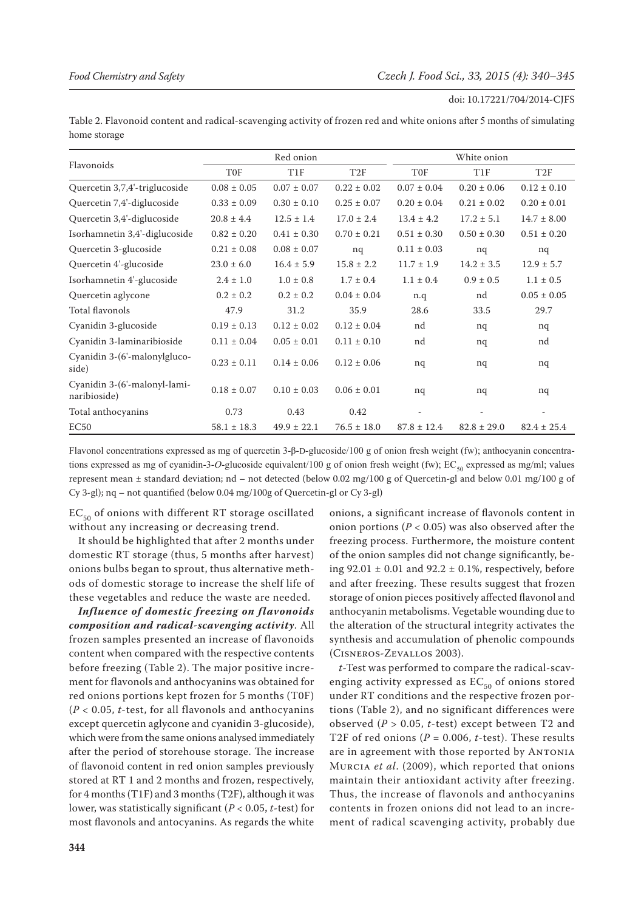Table 2. Flavonoid content and radical-scavenging activity of frozen red and white onions after 5 months of simulating home storage

| Flavonoids                                   | Red onion       |                 |                 | White onion     |                 |                 |  |
|----------------------------------------------|-----------------|-----------------|-----------------|-----------------|-----------------|-----------------|--|
|                                              | <b>TOF</b>      | T <sub>1F</sub> | T2F             | <b>TOF</b>      | T <sub>1F</sub> | T <sub>2F</sub> |  |
| Quercetin 3,7,4'-triglucoside                | $0.08 \pm 0.05$ | $0.07 \pm 0.07$ | $0.22 \pm 0.02$ | $0.07 \pm 0.04$ | $0.20 \pm 0.06$ | $0.12 \pm 0.10$ |  |
| Quercetin 7,4'-diglucoside                   | $0.33 \pm 0.09$ | $0.30 \pm 0.10$ | $0.25 \pm 0.07$ | $0.20 \pm 0.04$ | $0.21 \pm 0.02$ | $0.20 \pm 0.01$ |  |
| Quercetin 3,4'-diglucoside                   | $20.8 \pm 4.4$  | $12.5 \pm 1.4$  | $17.0 \pm 2.4$  | $13.4 \pm 4.2$  | $17.2 \pm 5.1$  | $14.7 \pm 8.00$ |  |
| Isorhamnetin 3,4'-diglucoside                | $0.82 \pm 0.20$ | $0.41 \pm 0.30$ | $0.70 \pm 0.21$ | $0.51 \pm 0.30$ | $0.50 \pm 0.30$ | $0.51 \pm 0.20$ |  |
| Quercetin 3-glucoside                        | $0.21 \pm 0.08$ | $0.08 \pm 0.07$ | nq              | $0.11 \pm 0.03$ | nq              | nq              |  |
| Quercetin 4'-glucoside                       | $23.0 \pm 6.0$  | $16.4 \pm 5.9$  | $15.8 \pm 2.2$  | $11.7 \pm 1.9$  | $14.2 \pm 3.5$  | $12.9 \pm 5.7$  |  |
| Isorhamnetin 4'-glucoside                    | $2.4 \pm 1.0$   | $1.0 \pm 0.8$   | $1.7 \pm 0.4$   | $1.1 \pm 0.4$   | $0.9 \pm 0.5$   | $1.1 \pm 0.5$   |  |
| Quercetin aglycone                           | $0.2 \pm 0.2$   | $0.2 \pm 0.2$   | $0.04 \pm 0.04$ | n.q             | nd              | $0.05 \pm 0.05$ |  |
| Total flavonols                              | 47.9            | 31.2            | 35.9            | 28.6            | 33.5            | 29.7            |  |
| Cyanidin 3-glucoside                         | $0.19 \pm 0.13$ | $0.12 \pm 0.02$ | $0.12 \pm 0.04$ | nd              | nq              | nq              |  |
| Cyanidin 3-laminaribioside                   | $0.11 \pm 0.04$ | $0.05 \pm 0.01$ | $0.11 \pm 0.10$ | nd              | nq              | nd              |  |
| Cyanidin 3-(6'-malonylgluco-<br>side)        | $0.23 \pm 0.11$ | $0.14 \pm 0.06$ | $0.12 \pm 0.06$ | nq              | nq              | nq              |  |
| Cyanidin 3-(6'-malonyl-lami-<br>naribioside) | $0.18 \pm 0.07$ | $0.10 \pm 0.03$ | $0.06 \pm 0.01$ | nq              | nq              | nq              |  |
| Total anthocyanins                           | 0.73            | 0.43            | 0.42            |                 |                 |                 |  |
| EC <sub>50</sub>                             | $58.1 \pm 18.3$ | $49.9 \pm 22.1$ | $76.5 \pm 18.0$ | $87.8 \pm 12.4$ | $82.8 \pm 29.0$ | $82.4 \pm 25.4$ |  |

Flavonol concentrations expressed as mg of quercetin 3-β-D-glucoside/100 g of onion fresh weight (fw); anthocyanin concentrations expressed as mg of cyanidin-3-*O*-glucoside equivalent/100 g of onion fresh weight (fw); EC<sub>50</sub> expressed as mg/ml; values represent mean ± standard deviation; nd – not detected (below 0.02 mg/100 g of Quercetin-gl and below 0.01 mg/100 g of Cy 3-gl); nq – not quantified (below 0.04 mg/100g of Quercetin-gl or Cy 3-gl)

 $EC_{50}$  of onions with different RT storage oscillated without any increasing or decreasing trend.

It should be highlighted that after 2 months under domestic RT storage (thus, 5 months after harvest) onions bulbs began to sprout, thus alternative methods of domestic storage to increase the shelf life of these vegetables and reduce the waste are needed.

*Influence of domestic freezing on flavonoids composition and radical-scavenging activity*. All frozen samples presented an increase of flavonoids content when compared with the respective contents before freezing (Table 2). The major positive increment for flavonols and anthocyanins was obtained for red onions portions kept frozen for 5 months (T0F) (*P* < 0.05, *t*-test, for all flavonols and anthocyanins except quercetin aglycone and cyanidin 3-glucoside), which were from the same onions analysed immediately after the period of storehouse storage. The increase of flavonoid content in red onion samples previously stored at RT 1 and 2 months and frozen, respectively, for 4 months (T1F) and 3 months (T2F), although it was lower, was statistically significant (*P* < 0.05, *t*-test) for most flavonols and antocyanins. As regards the white

onions, a significant increase of flavonols content in onion portions ( $P < 0.05$ ) was also observed after the freezing process. Furthermore, the moisture content of the onion samples did not change significantly, being 92.01  $\pm$  0.01 and 92.2  $\pm$  0.1%, respectively, before and after freezing. These results suggest that frozen storage of onion pieces positively affected flavonol and anthocyanin metabolisms. Vegetable wounding due to the alteration of the structural integrity activates the synthesis and accumulation of phenolic compounds (Cisneros-Zevallos 2003).

*t*-Test was performed to compare the radical-scavenging activity expressed as  $EC_{50}$  of onions stored under RT conditions and the respective frozen portions (Table 2), and no significant differences were observed (*P* > 0.05, *t*-test) except between T2 and T2F of red onions ( $P = 0.006$ , *t*-test). These results are in agreement with those reported by Antonia Murcia *et al*. (2009), which reported that onions maintain their antioxidant activity after freezing. Thus, the increase of flavonols and anthocyanins contents in frozen onions did not lead to an increment of radical scavenging activity, probably due